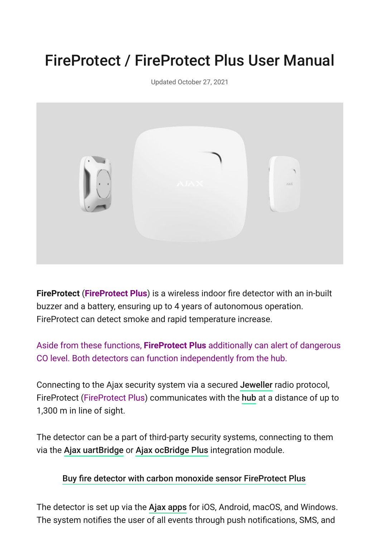# FireProtect / FireProtect Plus User Manual

Updated October 27, 2021



**FireProtect** (**FireProtect Plus**) is a wireless indoor fire detector with an in-built buzzer and a battery, ensuring up to 4 years of autonomous operation. FireProtect can detect smoke and rapid temperature increase.

Aside from these functions, **FireProtect Plus** additionally can alert of dangerous CO level. Both detectors can function independently from the hub.

Connectingto the Ajax security system via a secured Jeweller radio protocol, FireProtect (FireProtect Plus) communicates with the hub at a distance of up to 1,300 m in line of sight.

The detector can be a part of third-party security systems, connecting to them viathe Ajax uartBridge or Ajax ocBridge Plus integration module.

#### [Buy fire detector with carbon monoxide sensor FireProtect Plus](https://ajax.systems/products/fireprotectplus/)

Thedetector is set up via the Ajax apps for iOS, Android, macOS, and Windows. The system notifies the user of all events through push notifications, SMS, and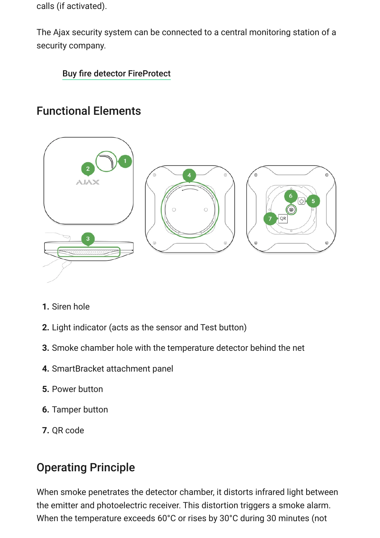calls (if activated).

The Ajax security system can be connected to a central monitoring station of a security company.

### [Buy fire detector FireProtect](https://ajax.systems/products/fireprotect/)

# Functional Elements



- **1.** Siren hole
- **2.** Light indicator (acts as the sensor and Test button)
- **3.** Smoke chamber hole with the temperature detector behind the net
- **4.** SmartBracket attachment panel
- **5.** Power button
- **6.** Tamper button
- **7.** QR code

# Operating Principle

When smoke penetrates the detector chamber, it distorts infrared light between the emitter and photoelectric receiver. This distortion triggers a smoke alarm. When the temperature exceeds 60°С or rises by 30°С during 30 minutes (not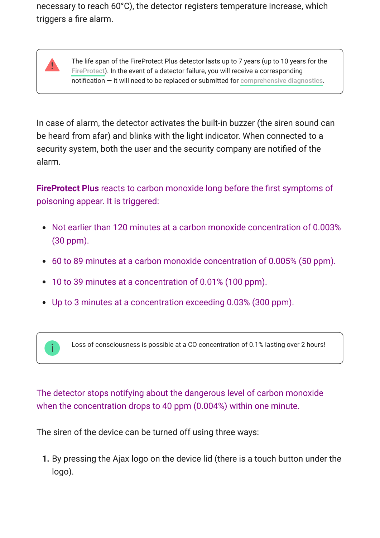necessary to reach 60°С), the detector registers temperature increase, which triggers a fire alarm.

> The life span of the FireProtect Plus detector lasts up to 7 years (up to 10 years for the [FireProtect](https://ajax.systems/products/fireprotect/)). In the event of a detector failure, you will receive a corresponding  $notification - it will need to be replaced or submitted for comprehensive diagnostics.$  $notification - it will need to be replaced or submitted for comprehensive diagnostics.$

In case of alarm, the detector activates the built-in buzzer (the siren sound can be heard from afar) and blinks with the light indicator. When connected to a security system, both the user and the security company are notified of the alarm.

**FireProtect Plus** reacts to carbon monoxide long before the first symptoms of poisoning appear. It is triggered:

- Not earlier than 120 minutes at a carbon monoxide concentration of 0.003% (30 ppm).
- 60 to 89 minutes at a carbon monoxide concentration of 0.005% (50 ppm).
- 10 to 39 minutes at a concentration of 0.01% (100 ppm).
- Up to 3 minutes at a concentration exceeding 0.03% (300 ppm).



The detector stops notifying about the dangerous level of carbon monoxide when the concentration drops to 40 ppm (0.004%) within one minute.

The siren of the device can be turned off using three ways:

**1.** By pressing the Ajax logo on the device lid (there is a touch button under the logo).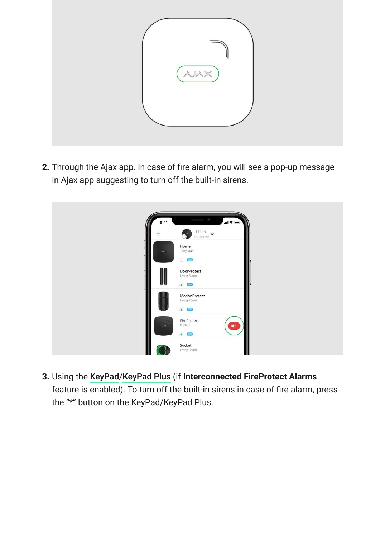

**2.** Through the Ajax app. In case of fire alarm, you will see a pop-up message in Ajax app suggesting to turn off the built-in sirens.



**3.**Using the KeyPad/KeyPad Plus (if Interconnected FireProtect Alarms feature is enabled). To turn off the built-in sirens in case of fire alarm, press the "\*" button on the KeyPad/KeyPad Plus.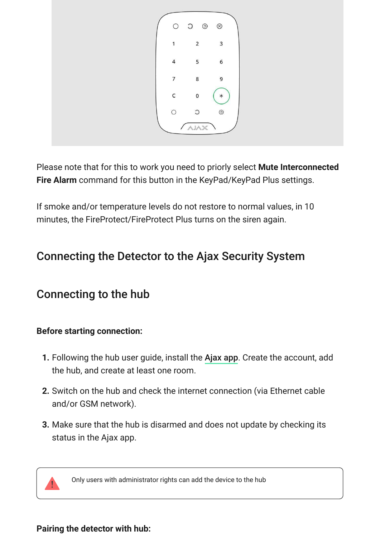

Please note that for this to work you need to priorly select **Mute Interconnected Fire Alarm** command for this button in the KeyPad/KeyPad Plus settings.

If smoke and/or temperature levels do not restore to normal values, in 10 minutes, the FireProtect/FireProtect Plus turns on the siren again.

# Connecting the Detector to the Ajax Security System

# Connecting to the hub

### **Before starting connection:**

- **1.** Following the hub user guide, install the Ajax app. Create the account, add the hub, and create at least one room.
- **2.** Switch on the hub and check the internet connection (via Ethernet cable and/or GSM network).
- **3.** Make sure that the hub is disarmed and does not update by checking its status in the Ajax app.



Only users with administrator rights can add the device to the hub

### **Pairing the detector with hub:**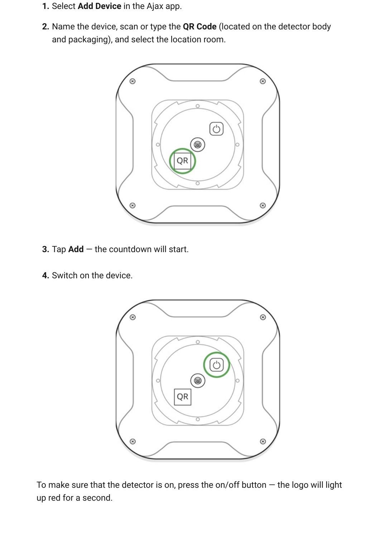- **1.** Select **Add Device** in the Ajax app.
- **2.** Name the device, scan or type the **QR Code** (located on the detector body and packaging), and select the location room.



- **3.** Tap **Add** the countdown will start.
- **4.** Switch on the device.



To make sure that the detector is on, press the on/off button  $-$  the logo will light up red for a second.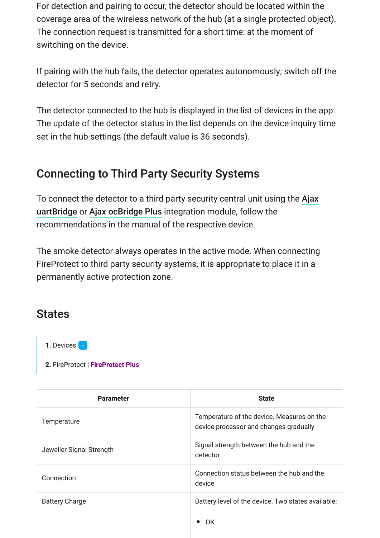For detection and pairing to occur, the detector should be located within the coverage area of the wireless network of the hub (at a single protected object). The connection request is transmitted for a short time: at the moment of switching on the device.

If pairing with the hub fails, the detector operates autonomously; switch off the detector for 5 seconds and retry.

The detector connected to the hub is displayed in the list of devices in the app. The update of the detector status in the list depends on the device inquiry time set in the hub settings (the default value is 36 seconds).

### Connecting to Third Party Security Systems

[To connect the detector to a third party security central unit using the](https://ajax.systems/products/uartbridge/)  Ajax uartBridge or Ajax ocBridge Plus integration module, follow the recommendations in the manual of the respective device.

The smoke detector always operates in the active mode. When connecting FireProtect to third party security systems, it is appropriate to place it in a permanently active protection zone.

### **States**

1. Devices -

**2.** FireProtect | **FireProtect Plus**

| <b>Parameter</b>         | <b>State</b>                                                                         |
|--------------------------|--------------------------------------------------------------------------------------|
| Temperature              | Temperature of the device. Measures on the<br>device processor and changes gradually |
| Jeweller Signal Strength | Signal strength between the hub and the<br>detector                                  |
| Connection               | Connection status between the hub and the<br>device                                  |
| <b>Battery Charge</b>    | Battery level of the device. Two states available:                                   |
|                          | 0K                                                                                   |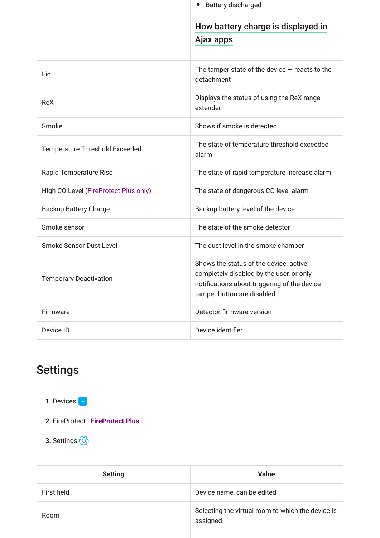|                                       | <b>Battery discharged</b>                                                                                                                                         |
|---------------------------------------|-------------------------------------------------------------------------------------------------------------------------------------------------------------------|
|                                       | How battery charge is displayed in<br>Ajax apps                                                                                                                   |
| Lid                                   | The tamper state of the device $-$ reacts to the<br>detachment                                                                                                    |
| <b>ReX</b>                            | Displays the status of using the ReX range<br>extender                                                                                                            |
| Smoke                                 | Shows if smoke is detected                                                                                                                                        |
| Temperature Threshold Exceeded        | The state of temperature threshold exceeded<br>alarm                                                                                                              |
| <b>Rapid Temperature Rise</b>         | The state of rapid temperature increase alarm                                                                                                                     |
| High CO Level (FireProtect Plus only) | The state of dangerous CO level alarm                                                                                                                             |
| <b>Backup Battery Charge</b>          | Backup battery level of the device                                                                                                                                |
| Smoke sensor                          | The state of the smoke detector                                                                                                                                   |
| <b>Smoke Sensor Dust Level</b>        | The dust level in the smoke chamber                                                                                                                               |
| <b>Temporary Deactivation</b>         | Shows the status of the device: active,<br>completely disabled by the user, or only<br>notifications about triggering of the device<br>tamper button are disabled |
| Firmware                              | Detector firmware version                                                                                                                                         |
| Device ID                             | Device identifier                                                                                                                                                 |

# Settings

1. Devices **-**

**2.** FireProtect | **FireProtect Plus**

**3.** Settings

| <b>Setting</b> | <b>Value</b>                                                  |
|----------------|---------------------------------------------------------------|
| First field    | Device name, can be edited                                    |
| Room           | Selecting the virtual room to which the device is<br>assigned |
|                |                                                               |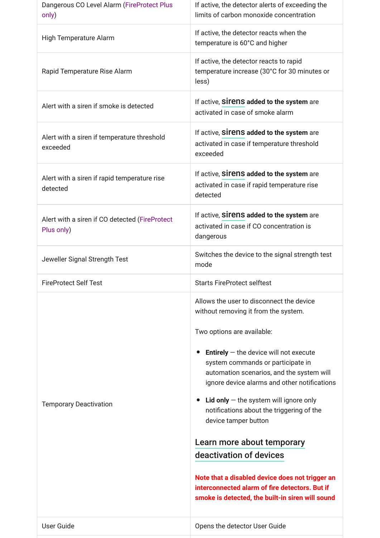| Dangerous CO Level Alarm (FireProtect Plus<br>only)          | If active, the detector alerts of exceeding the<br>limits of carbon monoxide concentration                                                                                                                                                                                                                                                                                                                                                                                                                                                                                                                                                                 |
|--------------------------------------------------------------|------------------------------------------------------------------------------------------------------------------------------------------------------------------------------------------------------------------------------------------------------------------------------------------------------------------------------------------------------------------------------------------------------------------------------------------------------------------------------------------------------------------------------------------------------------------------------------------------------------------------------------------------------------|
| High Temperature Alarm                                       | If active, the detector reacts when the<br>temperature is 60°C and higher                                                                                                                                                                                                                                                                                                                                                                                                                                                                                                                                                                                  |
| Rapid Temperature Rise Alarm                                 | If active, the detector reacts to rapid<br>temperature increase (30°C for 30 minutes or<br>less)                                                                                                                                                                                                                                                                                                                                                                                                                                                                                                                                                           |
| Alert with a siren if smoke is detected                      | If active, Sirens added to the system are<br>activated in case of smoke alarm                                                                                                                                                                                                                                                                                                                                                                                                                                                                                                                                                                              |
| Alert with a siren if temperature threshold<br>exceeded      | If active, <b>Sirens added to the system</b> are<br>activated in case if temperature threshold<br>exceeded                                                                                                                                                                                                                                                                                                                                                                                                                                                                                                                                                 |
| Alert with a siren if rapid temperature rise<br>detected     | If active, Sirens added to the system are<br>activated in case if rapid temperature rise<br>detected                                                                                                                                                                                                                                                                                                                                                                                                                                                                                                                                                       |
| Alert with a siren if CO detected (FireProtect<br>Plus only) | If active, sirens added to the system are<br>activated in case if CO concentration is<br>dangerous                                                                                                                                                                                                                                                                                                                                                                                                                                                                                                                                                         |
| Jeweller Signal Strength Test                                | Switches the device to the signal strength test<br>mode                                                                                                                                                                                                                                                                                                                                                                                                                                                                                                                                                                                                    |
| <b>FireProtect Self Test</b>                                 | <b>Starts FireProtect selftest</b>                                                                                                                                                                                                                                                                                                                                                                                                                                                                                                                                                                                                                         |
| <b>Temporary Deactivation</b>                                | Allows the user to disconnect the device<br>without removing it from the system.<br>Two options are available:<br><b>Entirely</b> $-$ the device will not execute<br>$\bullet$<br>system commands or participate in<br>automation scenarios, and the system will<br>ignore device alarms and other notifications<br><b>Lid only</b> $-$ the system will ignore only<br>notifications about the triggering of the<br>device tamper button<br>Learn more about temporary<br>deactivation of devices<br>Note that a disabled device does not trigger an<br>interconnected alarm of fire detectors. But if<br>smoke is detected, the built-in siren will sound |
| User Guide                                                   | Opens the detector User Guide                                                                                                                                                                                                                                                                                                                                                                                                                                                                                                                                                                                                                              |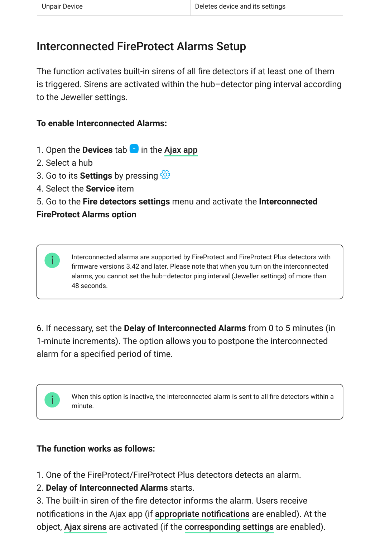# Interconnected FireProtect Alarms Setup

The function activates built-in sirens of all fire detectors if at least one of them is triggered. Sirens are activated within the hub–detector ping interval according to the Jeweller settings.

### **To enable Interconnected Alarms:**

- 1. Open the **Devices** tab **d** in the [Ajax app](https://ajax.systems/software/)
- 2. Select a hub
- 3. Go to its **Settings** by pressing
- 4. Select the **Service** item
- 5. Go to the **Fire detectors settings** menu and activate the **Interconnected**

### **FireProtect Alarms option**

Interconnected alarms are supported by FireProtect and FireProtect Plus detectors with firmware versions 3.42 and later. Please note that when you turn on the interconnected alarms, you cannot set the hub–detector ping interval (Jeweller settings) of more than 48 seconds.

6. If necessary, set the **Delay of Interconnected Alarms** from 0 to 5 minutes (in 1-minute increments). The option allows you to postpone the interconnected alarm for a specified period of time.

When this option is inactive, the interconnected alarm is sent to all fire detectors within a minute.

### **The function works as follows:**

- 1. One of the FireProtect/FireProtect Plus detectors detects an alarm.
- 2. **Delay of Interconnected Alarms** starts.

3. The built-in siren of the fire detector informs the alarm. Users receive notifications in the Ajax app (if appropriate notifications are enabled). At the object, Ajax sirens are activated (if the corresponding settings are enabled).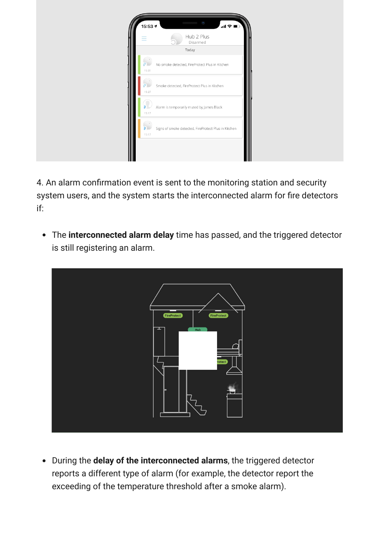| $\mathcal{C}^{\mathbf{q}}$<br><b>SAMARANING MARKETIN</b><br>15:53 +<br>$\mathbf{m} \mathbf{v} =$<br>Hub 2 Plus<br>Ξ<br>Disarmed |
|---------------------------------------------------------------------------------------------------------------------------------|
| Today                                                                                                                           |
| $\rightarrow$<br>P<br>No smoke detected, FireProtect Plus in Kitchen<br>15:31                                                   |
| Smoke detected, FireProtect Plus in Kitchen<br>15:27                                                                            |
| Alarm is temporarily muted by James Black<br>15:17                                                                              |
| Signs of smoke detected, FireProtect Plus in Kitchen<br>15:17                                                                   |
|                                                                                                                                 |

4. An alarm confirmation event is sent to the monitoring station and security system users, and the system starts the interconnected alarm for fire detectors if:

The **interconnected alarm delay** time has passed, and the triggered detector is still registering an alarm.



During the **delay of the interconnected alarms**, the triggered detector reports a different type of alarm (for example, the detector report the exceeding of the temperature threshold after a smoke alarm).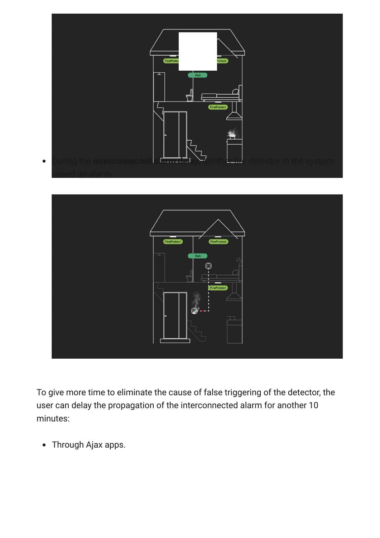



To give more time to eliminate the cause of false triggering of the detector, the user can delay the propagation of the interconnected alarm for another 10 minutes:

Through Ajax apps.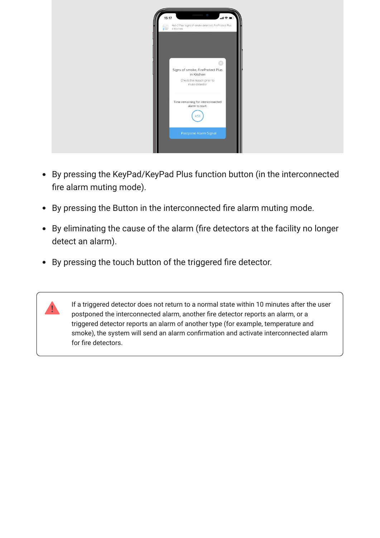

- By pressing the KeyPad/KeyPad Plus function button (in the interconnected fire alarm muting mode).
- By pressing the Button in the interconnected fire alarm muting mode.
- By eliminating the cause of the alarm (fire detectors at the facility no longer detect an alarm).
- By pressing the touch button of the triggered fire detector.

If a triggered detector does not return to a normal state within 10 minutes after the user postponed the interconnected alarm, another fire detector reports an alarm, or a triggered detector reports an alarm of another type (for example, temperature and smoke), the system will send an alarm confirmation and activate interconnected alarm for fire detectors.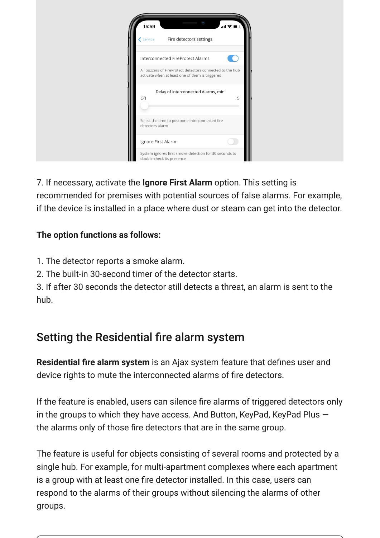| $45\%$<br><b>COMPOSITIONS</b><br>15:59<br>$\mathbf{d} \in \mathbf{R}$<br>Fire detectors settings<br><b>く</b> Service |
|----------------------------------------------------------------------------------------------------------------------|
| Interconnected FireProtect Alarms<br>K.                                                                              |
| All buzzers of FireProtect detectors connected to the hub<br>activate when at least one of them is triggered         |
| Delay of Interconnected Alarms, min<br>5<br>Off                                                                      |
| Select the time to postpone interconnected fire<br>detectors alarm                                                   |
| Ignore First Alarm                                                                                                   |
| System ignores first smoke detection for 30 seconds to<br>double-check its presence                                  |

7. If necessary, activate the **Ignore First Alarm** option. This setting is recommended for premises with potential sources of false alarms. For example, if the device is installed in a place where dust or steam can get into the detector.

### **The option functions as follows:**

- 1. The detector reports a smoke alarm.
- 2. The built-in 30-second timer of the detector starts.

3. If after 30 seconds the detector still detects a threat, an alarm is sent to the hub.

# Setting the Residential fire alarm system

**Residential fire alarm system** is an Ajax system feature that defines user and device rights to mute the interconnected alarms of fire detectors.

If the feature is enabled, users can silence fire alarms of triggered detectors only in the groups to which they have access. And Button, KeyPad, KeyPad Plus  $$ the alarms only of those fire detectors that are in the same group.

The feature is useful for objects consisting of several rooms and protected by a single hub. For example, for multi-apartment complexes where each apartment is a group with at least one fire detector installed. In this case, users can respond to the alarms of their groups without silencing the alarms of other groups.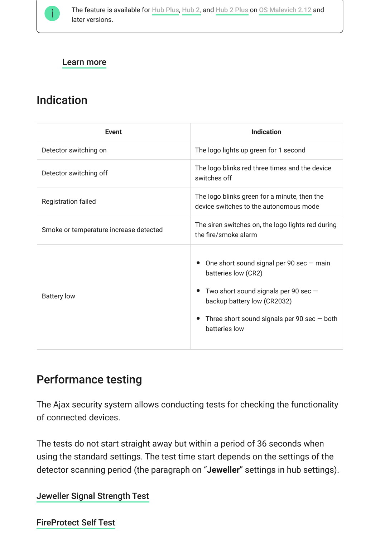

#### [Learn more](https://support.ajax.systems/en/residential-fire-alarms/)

# Indication

| <b>Event</b>                           | <b>Indication</b>                                                                                                                                                                                                                                   |
|----------------------------------------|-----------------------------------------------------------------------------------------------------------------------------------------------------------------------------------------------------------------------------------------------------|
| Detector switching on                  | The logo lights up green for 1 second                                                                                                                                                                                                               |
| Detector switching off                 | The logo blinks red three times and the device<br>switches off                                                                                                                                                                                      |
| <b>Registration failed</b>             | The logo blinks green for a minute, then the<br>device switches to the autonomous mode                                                                                                                                                              |
| Smoke or temperature increase detected | The siren switches on, the logo lights red during<br>the fire/smoke alarm                                                                                                                                                                           |
| <b>Battery low</b>                     | One short sound signal per 90 sec $-$ main<br>$\bullet$<br>batteries low (CR2)<br>Two short sound signals per 90 sec $-$<br>$\bullet$<br>backup battery low (CR2032)<br>Three short sound signals per 90 sec $-$ both<br>$\bullet$<br>batteries low |

### Performance testing

The Ajax security system allows conducting tests for checking the functionality of connected devices.

The tests do not start straight away but within a period of 36 seconds when using the standard settings. The test time start depends on the settings of the detector scanning period (the paragraph on "**Jeweller**" settings in hub settings).

#### [Jeweller Signal Strength Test](https://support.ajax.systems/en/what-is-signal-strenght-test/)

#### [FireProtect Self Test](https://support.ajax.systems/en/faqs/what-if-fireprotect-self-test/)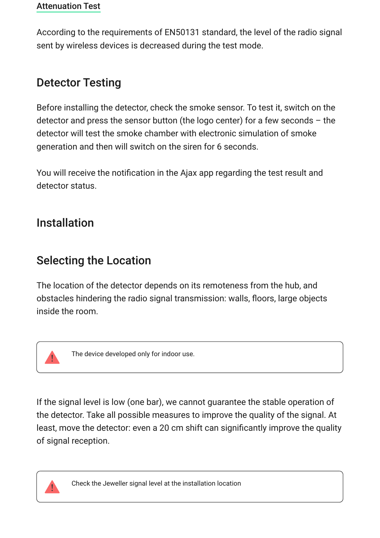#### [Attenuation Test](https://support.ajax.systems/en/what-is-attenuation-test/)

According to the requirements of EN50131 standard, the level of the radio signal sent by wireless devices is decreased during the test mode.

# Detector Testing

Before installing the detector, check the smoke sensor. To test it, switch on the detector and press the sensor button (the logo center) for a few seconds  $-$  the detector will test the smoke chamber with electronic simulation of smoke generation and then will switch on the siren for 6 seconds.

You will receive the notification in the Ajax app regarding the test result and detector status.

# Installation

# <span id="page-15-0"></span>Selecting the Location

The location of the detector depends on its remoteness from the hub, and obstacles hindering the radio signal transmission: walls, floors, large objects inside the room.



The device developed only for indoor use.

If the signal level is low (one bar), we cannot guarantee the stable operation of the detector. Take all possible measures to improve the quality of the signal. At least, move the detector: even a 20 cm shift can significantly improve the quality of signal reception.



Check the Jeweller signal level at the installation location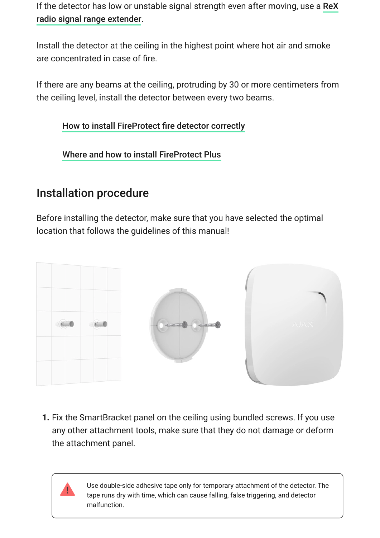[If the detector has low or unstable signal strength even after moving, use a](https://ajax.systems/products/rex/) ReX . radio signal range extender

Install the detector at the ceiling in the highest point where hot air and smoke are concentrated in case of fire.

If there are any beams at the ceiling, protruding by 30 or more centimeters from the ceiling level, install the detector between every two beams.

[How to install FireProtect fire detector correctly](https://support.ajax.systems/en/how-to-install-fireprotect-correctly/)

[Where and how to install FireProtect Plus](https://support.ajax.systems/en/how-to-install-co-sensors/)

# <span id="page-16-0"></span>Installation procedure

Before installing the detector, make sure that you have selected the optimal location that follows the guidelines of this manual!



**1.** Fix the SmartBracket panel on the ceiling using bundled screws. If you use any other attachment tools, make sure that they do not damage or deform the attachment panel.

> Use double-side adhesive tape only for temporary attachment of the detector. The tape runs dry with time, which can cause falling, false triggering, and detector malfunction.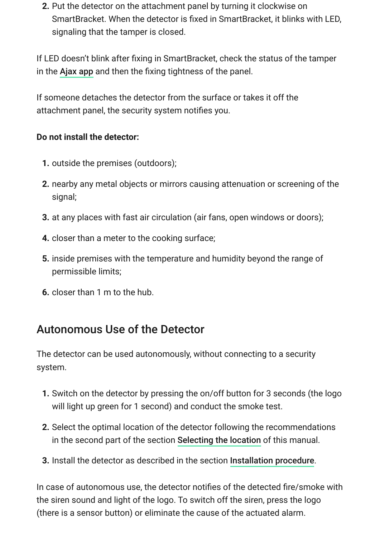**2.** Put the detector on the attachment panel by turning it clockwise on SmartBracket. When the detector is fixed in SmartBracket, it blinks with LED, signaling that the tamper is closed.

If LED doesn't blink after fixing in SmartBracket, check the status of the tamper in the Ajax app and then the fixing tightness of the panel.

If someone detaches the detector from the surface or takes it off the attachment panel, the security system notifies you.

#### **Do not install the detector:**

- **1.** outside the premises (outdoors);
- **2.** nearby any metal objects or mirrors causing attenuation or screening of the signal;
- **3.** at any places with fast air circulation (air fans, open windows or doors);
- **4.** closer than a meter to the cooking surface;
- **5.** inside premises with the temperature and humidity beyond the range of permissible limits;
- **6.** closer than 1 m to the hub.

# Autonomous Use of the Detector

The detector can be used autonomously, without connecting to a security system.

- **1.** Switch on the detector by pressing the on/off button for 3 seconds (the logo will light up green for 1 second) and conduct the smoke test.
- **2.** Select the optimal location of the detector following the recommendations in the second part of the section [Selecting the location](#page-15-0) of this manual.
- **3.** Install the detector as described in the section [Installation procedure](#page-16-0).

In case of autonomous use, the detector notifies of the detected fire/smoke with the siren sound and light of the logo. To switch off the siren, press the logo (there is a sensor button) or eliminate the cause of the actuated alarm.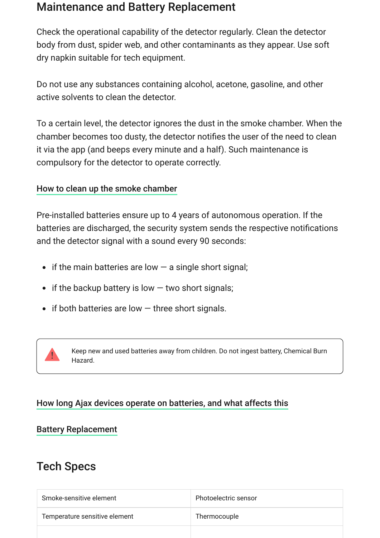### Maintenance and Battery Replacement

Check the operational capability of the detector regularly. Clean the detector body from dust, spider web, and other contaminants as they appear. Use soft dry napkin suitable for tech equipment.

Do not use any substances containing alcohol, acetone, gasoline, and other active solvents to clean the detector.

To a certain level, the detector ignores the dust in the smoke chamber. When the chamber becomes too dusty, the detector notifies the user of the need to clean it via the app (and beeps every minute and a half). Such maintenance is compulsory for the detector to operate correctly.

#### [How to clean up the smoke chamber](https://support.ajax.systems/en/how-to-clean-fireprotect/)

Pre-installed batteries ensure up to 4 years of autonomous operation. If the batteries are discharged, the security system sends the respective notifications and the detector signal with a sound every 90 seconds:

- $\bullet$  if the main batteries are low  $-$  a single short signal;
- $\bullet$  if the backup battery is low  $-$  two short signals;
- $\bullet$  if both batteries are low  $-$  three short signals.



Keep new and used batteries away from children. Do not ingest battery, Chemical Burn Hazard.

### [How long Ajax devices operate on batteries, and what affects this](https://support.ajax.systems/en/how-long-operate-from-batteries/)

#### [Battery Replacement](https://support.ajax.systems/en/how-to-replace-batteries-in-fireprotect/)

### Tech Specs

| Smoke-sensitive element       | Photoelectric sensor |
|-------------------------------|----------------------|
| Temperature sensitive element | Thermocouple         |
|                               |                      |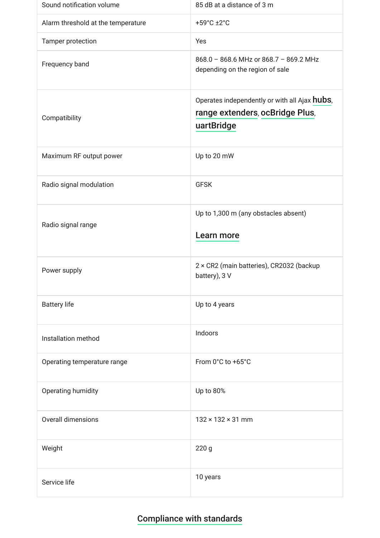| Sound notification volume          | 85 dB at a distance of 3 m                                                                     |
|------------------------------------|------------------------------------------------------------------------------------------------|
| Alarm threshold at the temperature | +59°C ±2°C                                                                                     |
| Tamper protection                  | Yes                                                                                            |
| Frequency band                     | 868.0 - 868.6 MHz or 868.7 - 869.2 MHz<br>depending on the region of sale                      |
| Compatibility                      | Operates independently or with all Ajax hubs,<br>range extenders, ocBridge Plus,<br>uartBridge |
| Maximum RF output power            | Up to 20 mW                                                                                    |
| Radio signal modulation            | <b>GFSK</b>                                                                                    |
| Radio signal range                 | Up to 1,300 m (any obstacles absent)<br>Learn more                                             |
| Power supply                       | 2 × CR2 (main batteries), CR2032 (backup<br>battery), 3 V                                      |
| <b>Battery life</b>                | Up to 4 years                                                                                  |
| Installation method                | Indoors                                                                                        |
| Operating temperature range        | From 0°C to +65°C                                                                              |
| Operating humidity                 | Up to 80%                                                                                      |
| <b>Overall dimensions</b>          | $132 \times 132 \times 31$ mm                                                                  |
| Weight                             | 220 <sub>g</sub>                                                                               |
| Service life                       | 10 years                                                                                       |

### [Compliance with standards](https://ajax.systems/standards/)